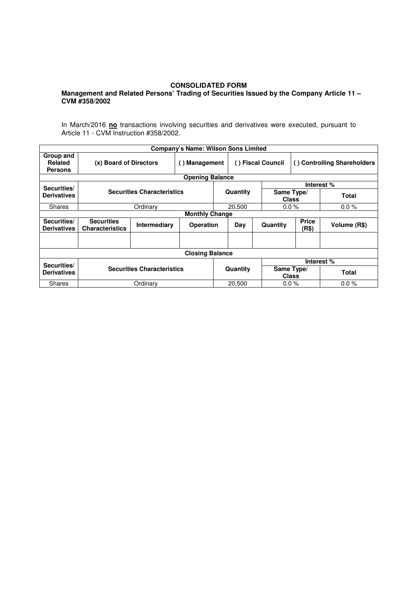## **CONSOLIDATED FORM**

## **Management and Related Persons' Trading of Securities Issued by the Company Article 11 – CVM #358/2002**

In March/2016 **no** transactions involving securities and derivatives were executed, pursuant to Article 11 - CVM Instruction #358/2002.

|                                        |                                             |                     | <b>Company's Name: Wilson Sons Limited</b> |          |                   |                     |                             |              |  |  |  |
|----------------------------------------|---------------------------------------------|---------------------|--------------------------------------------|----------|-------------------|---------------------|-----------------------------|--------------|--|--|--|
| Group and<br>Related<br><b>Persons</b> | (x) Board of Directors                      |                     | () Management                              |          | () Fiscal Council |                     | () Controlling Shareholders |              |  |  |  |
| <b>Opening Balance</b>                 |                                             |                     |                                            |          |                   |                     |                             |              |  |  |  |
| Securities/                            | <b>Securities Characteristics</b>           |                     |                                            |          |                   | Interest %          |                             |              |  |  |  |
| <b>Derivatives</b>                     |                                             |                     |                                            |          | Quantity          | Same Type/<br>Class |                             | Total        |  |  |  |
| Shares                                 |                                             | Ordinary            |                                            |          | 20,500            |                     | $0.0 \%$                    | $0.0 \%$     |  |  |  |
| <b>Monthly Change</b>                  |                                             |                     |                                            |          |                   |                     |                             |              |  |  |  |
| Securities/<br><b>Derivatives</b>      | <b>Securities</b><br><b>Characteristics</b> | <b>Intermediary</b> | <b>Operation</b>                           |          | Day               | Quantity            | <b>Price</b><br>(R\$)       | Volume (R\$) |  |  |  |
|                                        |                                             |                     |                                            |          |                   |                     |                             |              |  |  |  |
| <b>Closing Balance</b>                 |                                             |                     |                                            |          |                   |                     |                             |              |  |  |  |
| Securities/                            |                                             |                     |                                            |          |                   | Interest %          |                             |              |  |  |  |
| <b>Derivatives</b>                     | <b>Securities Characteristics</b>           |                     |                                            | Quantity |                   | Same Type/          | <b>Class</b>                | Total        |  |  |  |
| Shares                                 |                                             | Ordinary            |                                            |          | 20,500            |                     | $0.0 \%$                    | $0.0 \%$     |  |  |  |